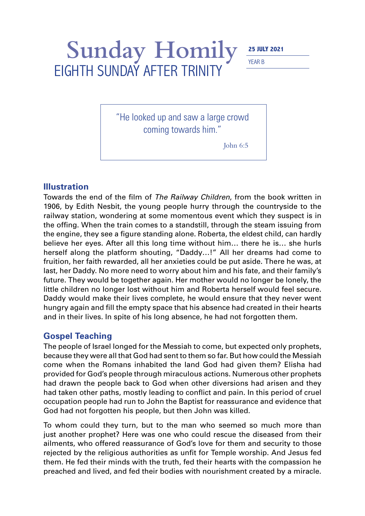## Sunday Homily EIGHTH SUNDAY AFTER TRINITY

YEAR B

"He looked up and saw a large crowd coming towards him."

John 6:5

## **Illustration**

Towards the end of the film of *The Railway Children*, from the book written in 1906, by Edith Nesbit, the young people hurry through the countryside to the railway station, wondering at some momentous event which they suspect is in the offing. When the train comes to a standstill, through the steam issuing from the engine, they see a figure standing alone. Roberta, the eldest child, can hardly believe her eyes. After all this long time without him… there he is… she hurls herself along the platform shouting, "Daddy…!" All her dreams had come to fruition, her faith rewarded, all her anxieties could be put aside. There he was, at last, her Daddy. No more need to worry about him and his fate, and their family's future. They would be together again. Her mother would no longer be lonely, the little children no longer lost without him and Roberta herself would feel secure. Daddy would make their lives complete, he would ensure that they never went hungry again and fill the empty space that his absence had created in their hearts and in their lives. In spite of his long absence, he had not forgotten them.

## **Gospel Teaching**

The people of Israel longed for the Messiah to come, but expected only prophets, because they were all that God had sent to them so far. But how could the Messiah come when the Romans inhabited the land God had given them? Elisha had provided for God's people through miraculous actions. Numerous other prophets had drawn the people back to God when other diversions had arisen and they had taken other paths, mostly leading to conflict and pain. In this period of cruel occupation people had run to John the Baptist for reassurance and evidence that God had not forgotten his people, but then John was killed.

To whom could they turn, but to the man who seemed so much more than just another prophet? Here was one who could rescue the diseased from their ailments, who offered reassurance of God's love for them and security to those rejected by the religious authorities as unfit for Temple worship. And Jesus fed them. He fed their minds with the truth, fed their hearts with the compassion he preached and lived, and fed their bodies with nourishment created by a miracle.